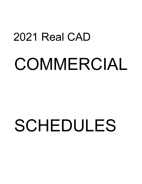## 2021 Real CAD COMMERCIAL

## SCHEDULES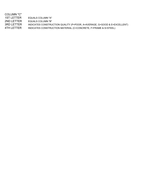| EQUALS COLUMN "A"                                                        |
|--------------------------------------------------------------------------|
| EQUALS COLUMN "B"                                                        |
| INDICATES CONSTRUCTION QUALITY (P=POOR, A=AVERAGE, G=GOOD & E=EXCELLENT) |
| INDICATES CONSTRUCTION MATERIAL (C=CONCRETE, F=FRAME & S=STEEL)          |
|                                                                          |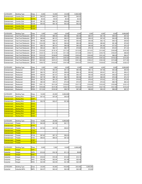| <b>CATEGORY</b> | <b>Building Type</b> | Class       | 5.000   | 10,000  | 20,000  | 9.999.999 |
|-----------------|----------------------|-------------|---------|---------|---------|-----------|
| Entertainment   | <b>Country Club</b>  | <b>ECPF</b> | \$45.91 | \$45.51 | \$44.71 | \$44.02   |
| Entertainment   | <b>Country Club</b>  | <b>ECPS</b> | \$0.00  | \$0.00  | \$0.00  | \$0.00    |
| Entertainment   | Country Club         | <b>ECAF</b> | \$61.23 | \$60.70 | \$59.64 | \$58.72   |
| Entertainment   | Country Club         | <b>ECAS</b> | \$54.65 | \$54.18 | \$53.25 | \$52.42   |
| Entertainment   | <b>Country Club</b>  | <b>ECEF</b> |         |         |         |           |
| Entertainment   | <b>Country Club</b>  | <b>ECES</b> |         |         |         |           |

| <b>CATEGORY</b> | <b>Building Type</b>        | Class       | 1,000    | 1,500    | 2,000    | 2,500    | 3,000    | 4,000    | 5,000    | 9,999,999 |
|-----------------|-----------------------------|-------------|----------|----------|----------|----------|----------|----------|----------|-----------|
| Entertainment   | <b>Fast Food Restaurant</b> | <b>EFPC</b> | \$75.42  | \$66.43  | \$65.35  | \$64.46  | \$64.07  | \$61.78  | \$58.91  | \$57.63   |
| Entertainment   | <b>Fast Food Restaurant</b> | <b>EFPF</b> | \$69.84  | \$61.51  | \$60.51  | \$59.68  | \$59.33  | \$57.20  | \$54.55  | \$53.36   |
| Entertainment   | <b>Fast Food Restaurant</b> | <b>EFPS</b> | \$63.66  | \$56.07  | \$55.16  | \$54,40  | \$54.08  | \$52.14  | \$49.72  | \$48.65   |
| Entertainment   | <b>Fast Food Restaurant</b> | <b>EFAC</b> | \$104.58 | \$92.12  | \$90.62  | \$89.38  | \$88.84  | \$85.66  | \$81.68  | \$79.92   |
| Entertainment   | <b>Fast Food Restaurant</b> | <b>EFAF</b> | \$99.70  | \$87.81  | \$86.38  | \$85.20  | \$84.69  | \$81.66  | \$77.87  | \$76.18   |
| Entertainment   | <b>Fast Food Restaurant</b> | <b>EFAS</b> | \$93.22  | \$82.11  | \$80.77  | \$79.66  | \$79.19  | \$76.36  | \$72.81  | \$71.23   |
| Entertainment   | <b>Fast Food Restaurant</b> | <b>EFGC</b> | \$135.26 | \$119.14 | \$117.20 | \$115.59 | \$114.91 | \$110.80 | \$105.65 | \$103.36  |
| Entertainment   | <b>Fast Food Restaurant</b> | <b>EFGF</b> | \$129.15 | \$113.76 | \$111.90 | \$110.38 | \$109.71 | \$105.79 | \$100.87 | \$98.69   |
| Entertainment   | <b>Fast Food Restaurant</b> | <b>EFGS</b> | \$123.35 | \$108.65 | \$106.88 | \$105.42 | \$104.80 | \$101.04 | \$96.35  | \$94.27   |
| Entertainment   | <b>Fast Food Restaurant</b> | <b>EFEC</b> | \$228.32 | \$201.11 | \$197.83 | \$195.12 | \$193.97 | \$187.02 | \$178.33 | \$174.48  |
| Entertainment   | <b>Fast Food Restaurant</b> | <b>EFEF</b> | \$223.89 | \$197.21 | \$193.99 | \$191.34 | \$190.21 | \$183.39 | \$174.88 | \$171.09  |
| Entertainment   | <b>Fast Food Restaurant</b> | <b>EFES</b> | \$169.75 | \$149.52 | \$147.08 | \$145.07 | \$144.21 | \$139.04 | \$132.58 | \$129.72  |

| <b>CATEGORY</b> | <b>Building Type</b> | Class       | 000, i   | 1,500    | 2,000    | 2,500    | 3,000    | 4,000    | 5,000    | 9,999,999 |
|-----------------|----------------------|-------------|----------|----------|----------|----------|----------|----------|----------|-----------|
| Entertainment   | Restaurant           | <b>ERPC</b> | \$70.78  | \$62.35  | \$61.33  | \$60.49  | \$60.13  | \$57.98  | \$55.28  | \$54.09   |
| Entertainment   | Restaurant           | <b>ERPF</b> | \$65.70  | \$57.87  | \$56.93  | \$56.14  | \$55.82  | \$53.81  | \$51.31  | \$50.21   |
| Entertainment   | Restaurant           | <b>ERPS</b> | \$58.94  | \$51.91  | \$51.06  | \$50.37  | \$50.06  | \$48.28  | \$46.03  | \$45.03   |
| Entertainment   | Restaurant           | <b>ERAC</b> | \$97.78  | \$86.12  | \$84.72  | \$83.56  | \$83.07  | \$80.09  | \$76.38  | \$74.72   |
| Entertainment   | Restaurant           | <b>ERAF</b> | \$92.34  | \$81.33  | \$80.01  | \$78.92  | \$78.45  | \$75.63  | \$72.12  | \$70.56   |
| Entertainment   | Restaurant           | <b>ERAS</b> | \$85.49  | \$75.31  | \$74.08  | \$73.07  | \$72.63  | \$70.02  | \$66.78  | \$65.33   |
| Entertainment   | Restaurant           | <b>EREC</b> | \$161.14 | \$141.94 | \$139.62 | \$137.72 | \$136.90 | \$132.00 | \$125.86 | \$123.14  |
| Entertainment   | Restaurant           | <b>EREF</b> | \$155.98 | \$137.38 | \$135.15 | \$133.30 | \$132.51 | \$127.76 | \$121.83 | \$119.19  |
| Entertainment   | Restaurant           | <b>ERES</b> | \$113.94 | \$100.36 | \$98.72  | \$97.38  | \$96.80  | \$93.33  | \$89,00  | \$87.07   |

| <b>CATEGORY</b>      |                      | Class       | 10,000  | 20.000  | 9,999,999 |
|----------------------|----------------------|-------------|---------|---------|-----------|
|                      | <b>Building Type</b> |             |         |         |           |
| Entertainment        | <b>Skating Rink</b>  | <b>ESPC</b> | \$37.42 | \$37.09 | \$36.39   |
| <b>Entertainment</b> | <b>Skating Rink</b>  | <b>ESPF</b> |         |         |           |
| Entertainment        | <b>Skating Rink</b>  | <b>ESPS</b> | \$32.76 | \$32.47 | \$31.86   |
| <b>Entertainment</b> | <b>Skating Rink</b>  | <b>ESAC</b> |         |         |           |
| Entertainment        | <b>Skating Rink</b>  | <b>ESAF</b> |         |         |           |
| Entertainment        | <b>Skating Rink</b>  | <b>ESAS</b> |         |         |           |
| Entertainment        | <b>Skating Rink</b>  | <b>ESEC</b> |         |         |           |
| <b>Entertainment</b> | <b>Skating Rink</b>  | <b>ESEF</b> |         |         |           |
| Entertainment        | <b>Skating Rink</b>  | <b>ESES</b> |         |         |           |

| <b>CATEGORY</b> | <b>Building Type</b> | Class       | 10,000  | 20,000  | 9,999,999 |
|-----------------|----------------------|-------------|---------|---------|-----------|
| Entertainment   | Theater              | <b>ETPC</b> | \$42.26 | \$41.90 | \$41.11   |
| Entertainment   | <b>Theater</b>       | <b>ETPF</b> |         |         |           |
| Entertainment   | Theater              | <b>ETPS</b> | \$37.85 | \$37.52 | \$36.81   |
| Entertainment   | <b>Theater</b>       | <b>ETAC</b> |         |         |           |
| Entertainment   | <b>Theater</b>       | <b>ETAF</b> |         |         |           |
| Entertainment   | Theater              | <b>ETAS</b> | \$57.62 | \$57.12 | \$56.04   |
| Entertainment   | Theater              | <b>ETEC</b> | \$89.83 | \$89.04 | \$87.36   |
| Entertainment   | <b>Theater</b>       | <b>ETEF</b> |         |         |           |
| Entertainment   | <b>Theater</b>       | <b>ETES</b> |         |         |           |

| <b>CATEGORY</b> | <b>Building Type</b> | Class       | 5.000   | 7.500   | 10.000  | 9.999.999 |
|-----------------|----------------------|-------------|---------|---------|---------|-----------|
| Industrial      | Hanger               | <b>IHPC</b> |         |         |         |           |
| Industrial      | Hanger               | <b>IHPS</b> | \$13.23 | \$12.18 | \$11.13 | \$9.98    |
| Industrial      | Hanger               | <b>IHAC</b> |         |         |         |           |
| Industrial      | Hanger               | <b>IHAS</b> | \$16.54 | \$15.49 | \$14.44 | \$13.13   |
| Industrial      | Hanger               | <b>IHEC</b> | \$23.99 | \$22.94 | \$21.89 | \$20.48   |
| Industrial      | Hanger               | <b>IHES</b> | \$23.99 | \$22.94 | \$21.89 | \$20.48   |

| <b>CATEGORY</b> | Building<br>vpe          | Class       | 20.000        | 50.000                | 100.000 | 200<br>,000     | 9.999.999 |
|-----------------|--------------------------|-------------|---------------|-----------------------|---------|-----------------|-----------|
| Industrial      | . MFC<br>Indi<br>ustrıal | <b>IMPC</b> | $-$<br>\$24.5 | $\sim$<br>.44<br>DZZ. | \$20.39 | con.<br>\$20.39 | \$19.98   |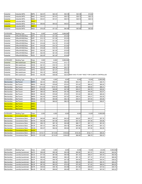| Industrial | Industrial MFG | <b>IMPS</b> | \$24.57 | \$22.44 | \$20.39 | \$20.39 | \$19.98 |
|------------|----------------|-------------|---------|---------|---------|---------|---------|
| Industrial | Industrial MFG | <b>IMAC</b> | \$34.61 | \$31.61 | \$28.72 | \$28.72 | \$28.15 |
| Industrial | Industrial MFG | <b>IMAS</b> | \$34.61 | \$31.61 | \$28.72 | \$28.72 | \$28.15 |
| Industrial | Industrial MFG | <b>IMGC</b> |         |         |         |         |         |
| Industrial | Industrial MFG | <b>IMGS</b> | \$59.80 | \$54.62 | \$49.61 | \$49.61 | \$48.64 |
| Industrial | Industrial MFG | <b>IMEC</b> |         |         |         |         |         |
| Industrial | Industrial MFG | <b>IMES</b> | \$78.29 | \$71.52 | \$64.96 | \$63.68 | \$63.68 |

| <b>CATEGORY</b> | <b>Building Type</b> | Class       | 5.000   | 10,000  | 9,999,999 |
|-----------------|----------------------|-------------|---------|---------|-----------|
| Industrial      | Office/WHSE/Shop     | <b>IOPC</b> | \$13.13 | \$11.55 | \$10.50   |
| Industrial      | Office/WHSE/Shop     | <b>IOPF</b> | \$13.13 | \$11.55 | \$10.50   |
| Industrial      | Office/WHSE/Shop     | <b>IOPS</b> | \$13.13 | \$11.55 | \$10.50   |
| Industrial      | Office/WHSE/Shop     | <b>IOAC</b> | \$16.28 | \$14.70 | \$13.65   |
| Industrial      | Office/WHSE/Shop     | <b>IOAF</b> | \$16.28 | \$14.70 | \$13.65   |
| Industrial      | Office/WHSE/Shop     | <b>IOAS</b> | \$16.28 | \$14.70 | \$13.65   |
| Industrial      | Office/WHSE/Shop     | <b>IOEC</b> | \$22.05 | \$21.00 | \$19.95   |
| Industrial      | Office/WHSE/Shop     | <b>IOEF</b> | \$22.05 | \$21.00 | \$19.95   |
| Industrial      | Office/WHSE/Shop     | <b>IOES</b> | \$22.05 | \$21.00 | \$19.95   |

| <b>CATEGORY</b> | <b>Building Type</b> | Class       | 3.000   | 6.000   | 9.999.999                                             |
|-----------------|----------------------|-------------|---------|---------|-------------------------------------------------------|
| Industrial      | Mini-warehouse       | <b>IWPS</b> | \$16.25 | \$14.63 | \$13.17                                               |
| Industrial      | Mini-warehouse       | <b>IWAS</b> | \$21.91 | \$19.72 | \$17.75                                               |
| Industrial      | Mini-warehouse       | <b>IWES</b> | \$29.33 | \$26.39 | \$23.75                                               |
| Industrial      | Mini-warehouse       | <b>IWPC</b> | \$23.97 | \$21.57 | \$19.42                                               |
| Industrial      | Mini-warehouse       | <b>IWAC</b> | \$32.10 | \$28.89 | \$26.00                                               |
| Industrial      | Mini-warehouse       | <b>IWEC</b> | \$42.98 | \$38.68 | \$34.81 ADD CHCA TO ANY "IWEC" FOR CLIMATE CONTROLLED |

| <b>CATEGORY</b> | <b>Building Type</b>     | Class       | 2,000    | 4,000    | 6,000    | 8,000    | 10,000   | 9,999,999 |
|-----------------|--------------------------|-------------|----------|----------|----------|----------|----------|-----------|
| Merchandise     | Bar/Tavern               | <b>MBPC</b> | \$63.00  | \$59.85  | \$56.86  | \$54.01  | \$51.31  | \$48.75   |
| Merchandise     | Bar/Tavern               | <b>MBAC</b> | \$84.00  | \$79.80  | \$75.81  | \$72.02  | \$68.42  | \$65.00   |
| Merchandise     | Bar/Tavern               | <b>MBGC</b> | \$110.25 | \$104.74 | \$99.50  | \$94.53  | \$89.80  | \$85.31   |
| Merchandise     | Bar/Tavern               | <b>MBPF</b> | \$52.50  | \$49.88  | \$47.38  | \$45.01  | \$42.76  | \$40.62   |
| Merchandise     | Bar/Tavern               | <b>MBAF</b> | \$68.25  | \$64.84  | \$61.60  | \$58.52  | \$55.59  | \$52.81   |
| Merchandise     | Bar/Tavern               | <b>MBGF</b> | \$84.00  | \$79.80  | \$75.81  | \$72.02  | \$68.42  | \$65.00   |
| Merchandise     | Bar/Tavern               | <b>MBPS</b> | \$42.00  | \$39.90  | \$37.91  | \$36.01  | \$34.21  | \$32.50   |
| Merchandise     | Bar/Tavern               | <b>MBAS</b> | \$57.75  | \$54.86  | \$52.12  | \$49.51  | \$47.04  | \$44.69   |
| Merchandise     | Bar/Tavern               | <b>MBGS</b> | \$73.50  | \$69.83  | \$66.33  | \$63.02  | \$59.87  | \$56.87   |
| Merchandise     | <b>Bar/Tavern</b>        | <b>NBEC</b> |          |          |          |          |          |           |
| Merchandise     | <b>Bar/Tavern</b>        | <b>MBEF</b> |          |          |          |          |          |           |
| Merchandise     | <b>Bar/Tavern</b>        | <b>MBES</b> |          |          |          |          |          |           |
|                 |                          |             |          |          |          |          |          |           |
| <b>CATEGORY</b> | <b>Building Type</b>     | Class       | 2.000    | 4,000    | 6.000    | 8.000    | 10.000   | 9,999,999 |
| Merchandise     | <b>Convenience Store</b> | <b>MCPC</b> |          |          |          |          |          |           |
| Merchandise     | Convenience Store        | <b>MCPF</b> | \$45.94  | \$45.03  | \$43.43  | \$40.87  | \$40.37  | \$37.78   |
| Merchandise     | Convenience Store        | <b>MCPS</b> | \$42.39  | \$41.56  | \$40.07  | \$37.72  | \$37.26  | \$34.86   |
| Merchandise     | <b>Convenience Store</b> | <b>MCAC</b> | \$99.10  | \$97.16  | \$93.68  | \$88.17  | \$87.11  | \$81.50   |
| Merchandise     | Convenience Store        | <b>MCAF</b> | \$57.31  | \$56.19  | \$54.18  | \$50.99  | \$50.38  | \$47.13   |
| Merchandise     | <b>Convenience Store</b> | <b>MCAS</b> | \$53.57  | \$52.52  | \$50.64  | \$47.66  | \$47.09  | \$44.06   |
| Merchandise     | <b>Convenience Store</b> | <b>MCEF</b> |          |          |          |          |          |           |
| Merchandise     | <b>Convenience Store</b> | <b>MCEC</b> | \$116.17 | \$113.90 | \$109.82 | \$103.36 | \$102.11 | \$95.54   |
| Merchandise     | <b>Convenience Store</b> | <b>MCES</b> | \$112.38 | \$110.20 | \$106.25 | \$99.99  | \$98.79  | \$92.43   |

| <b>CATEGORY</b> | <b>Building Type</b> | Class       | 2.000   | 4.000   | 6.000   | 8.000   | 10.000  | 20,000  | 9,999,999 |
|-----------------|----------------------|-------------|---------|---------|---------|---------|---------|---------|-----------|
| Merchandise     | Laundry/Laundromat   | <b>MLPC</b> | \$58.28 | \$55.36 | \$52.59 | \$49.96 | \$47.47 | \$45.09 | \$42.84   |
| Merchandise     | Laundry/Laundromat   | <b>MLAC</b> | \$71.54 | \$67.96 | \$64.56 | \$61.33 | \$58.27 | \$55.35 | \$52.59   |
| Merchandise     | Laundry/Laundromat   | <b>MLGC</b> | \$94.66 | \$89.92 | \$85.43 | \$81.16 | \$77.10 | \$73.24 | \$69.58   |
| Merchandise     | Laundry/Laundromat   | <b>MLPF</b> | \$52.40 | \$49.78 | \$47.29 | \$44.92 | \$42.68 | \$40.54 | \$38.52   |
| Merchandise     | Laundry/Laundromat   | <b>MLAF</b> | \$65.60 | \$62.32 | \$59.21 | \$56.25 | \$53.43 | \$50.76 | \$48.22   |
| Merchandise     | Laundry/Laundromat   | <b>MLGF</b> | \$87.93 | \$83.53 | \$79.35 | \$75.39 | \$71.62 | \$68.04 | \$64.63   |
| Merchandise     | Laundry/Laundromat   | <b>MLPS</b> | \$48.62 | \$46.18 | \$43.88 | \$41.68 | \$39.60 | \$37.62 | \$35.74   |
| Merchandise     | Laundry/Laundromat   | <b>MLAS</b> | \$61.94 | \$58.84 | \$55.90 | \$53.11 | \$50.45 | \$47.93 | \$45.53   |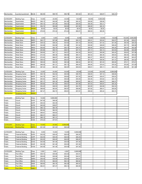| Merchandise                | Laundry/Laundromat                        | <b>MLGS</b>                 | \$62.90            | \$59.75            | \$56.76            | \$53.92            | \$51.23            | \$48.67            | \$46.23            |                    |                    |
|----------------------------|-------------------------------------------|-----------------------------|--------------------|--------------------|--------------------|--------------------|--------------------|--------------------|--------------------|--------------------|--------------------|
|                            |                                           |                             |                    |                    |                    |                    |                    |                    |                    |                    |                    |
| <b>CATEGORY</b>            | <b>Building Type</b>                      | Class                       | 10,000             | 20,000             | 40,000             | 60,000             | 80,000             | 9,999,999          |                    |                    |                    |
| Merchandise                | Supermarket                               | <b>MGPC</b>                 | \$46.13            | \$42.89            | \$41.80            | \$40.32            | \$39.56            | \$38.08            |                    |                    |                    |
| Merchandise<br>Merchandise | Supermarket<br>Supermarket                | <b>MGPS</b><br>MGAC         | \$40.10<br>\$54.74 | \$37.29<br>\$50.89 | \$36.33<br>\$49.60 | \$35.05<br>\$47.85 | \$34.39<br>\$46.95 | \$33.11<br>\$45.19 |                    |                    |                    |
| Merchandise                | <b>Supermarket</b>                        | <b>MGAS</b>                 | \$0.00             | \$0.00             | \$0.00             | \$0.00             | \$0.00             | \$0.00             |                    |                    |                    |
| Merchandise                | Supermarket                               | <b>MGEC</b>                 | \$79.93            | \$74.32            | \$72.42            | \$69.87            | \$68.54            | \$65.99            |                    |                    |                    |
| Merchandise                | Supermarket                               | <b>MGES</b>                 |                    |                    |                    |                    |                    |                    |                    |                    |                    |
|                            |                                           |                             |                    |                    |                    |                    |                    |                    |                    |                    |                    |
| <b>CATEGORY</b>            | <b>Building Type</b>                      | Class                       | 2,000              | 4,000              | 6,000              | 8,000              | 10,000             | 20,000             | 50,000             | 100,000            | 9,999,999          |
| Merchandise                | Retail Store                              | <b>MRPC</b>                 | \$40.17            | \$37.98            | \$36.49            | \$35.74            | \$35.31            | \$33.04            | \$32.57            | \$31.94            | \$30.61            |
| Merchandise                | Retail Store                              | MRPF                        | \$38.33            | \$36.24            | \$34.82            | \$34.10            | \$33.69            | \$31.52            | \$31.08            | \$30.48            | \$29.20            |
| Merchandise                | Retail Store                              | MRPS<br><b>MRAC</b>         | \$34.88<br>\$55.85 | \$32.98<br>\$52.79 | \$31.68<br>\$50.73 | \$31.04<br>\$49.70 | \$30.66<br>\$49.09 | \$28.69<br>\$45.93 | \$28.28<br>\$45.28 | \$27.73<br>\$44.40 | \$26.58<br>\$42.56 |
| Merchandise<br>Merchandise | Retail Store<br>Retail Store              | <b>MRAF</b>                 | \$53.66            | \$50.73            | \$48.74            | \$47.74            | \$47.17            | \$44.13            | \$43.50            | \$42.66            | \$40.89            |
| Merchandise                | <b>Retail Store</b>                       | <b>MRAS</b>                 | \$49.84            | \$47.11            | \$45.27            | \$44.34            | \$43.81            | \$40.99            | \$40.40            | \$39.63            | \$37.98            |
| Merchandise                | <b>Retail Store</b>                       | MRGC                        | \$73.40            | \$69.38            | \$66.66            | \$65.31            | \$64.52            | \$60.36            | \$59.50            | \$58.36            | \$55.92            |
| Merchandise                | <b>Retail Store</b>                       | <b>MRGF</b>                 | \$70.83            | \$66.97            | \$64.34            | \$63.02            | \$62.27            | \$58.25            | \$57.42            | \$56.32            | \$53.97            |
| Merchandise                | Retail Store                              | MRGS                        | \$58.43            | \$55.24            | \$53.07            | \$51.99            | \$51.36            | \$48.06            | \$47.37            | \$46.46            | \$44.52            |
| Merchandise                | <b>Retail Store</b>                       | <b>MREC</b>                 | \$99.49            | \$94.05            | \$90.36            | \$88.52            | \$87.45            | \$81.83            | \$80.66            | \$79.11            | \$75.81            |
| Merchandise                | <b>Retail Store</b>                       | MREF                        | \$96.58            | \$91.31            | \$87.73            | \$85.93            | \$84.90            | \$79.43            | \$78.30            | \$76.80            | \$73.59            |
| Merchandise                | <b>Retail Store</b>                       | <b>MRES</b>                 | \$67.02            | \$63.36            | \$60.87            | \$59.63            | \$58.91            | \$55.11            | \$54.33            | \$53.29            | \$51.06            |
|                            |                                           |                             |                    |                    |                    |                    |                    |                    |                    |                    |                    |
| CATEGORY                   | <b>Building Type</b>                      | Class                       | 10,000             | 20,000             | 50,000             | 80,000             | 120,000            | 200,000            | 9,999,999          |                    |                    |
| Merchandise<br>Merchandise | Shopping Center<br><b>Shopping Center</b> | <b>MSPC</b><br><b>MSPF</b>  | \$45.19<br>\$43.79 | \$42.02<br>\$40.71 | \$40.06<br>\$38.82 | \$38.76<br>\$37.55 | \$38.05<br>\$36.88 | \$37.12<br>\$35.97 | \$36.66<br>\$35.52 |                    |                    |
| Merchandise                | <b>Shopping Center</b>                    | <b>MSPS</b>                 | \$40.92            | \$38.05            | \$36.28            | \$35.09            | \$34.46            | \$33.62            | \$33.19            |                    |                    |
| Merchandise                | <b>Shopping Center</b>                    | MSAC                        | \$57.17            | \$53.16            | \$50.68            | \$49.02            | \$48.14            | \$46.97            | \$46.37            |                    |                    |
| Merchandise                | <b>Shopping Center</b>                    | <b>MSAF</b>                 | \$55.84            | \$51.92            | \$49.51            | \$47.89            | \$47.03            | \$45.87            | \$45.30            |                    |                    |
| Merchandise                | <b>Shopping Center</b>                    | <b>MSAS</b>                 | \$52.20            | \$48.53            | \$46.27            | \$44.76            | \$43.95            | \$42.88            | \$42.34            |                    |                    |
| Merchandise                | <b>Shopping Center</b>                    | <b>MSEC</b>                 | \$68.66            | \$63.84            | \$60.87            | \$58.88            | \$57.82            | \$56.41            | \$55.69            |                    |                    |
|                            |                                           |                             |                    |                    |                    |                    |                    |                    |                    |                    |                    |
| Merchandise                | <b>Shopping Center</b>                    | MSEF                        | \$67.47            | \$62.74            | \$59.81            | \$57.87            | \$56.82            | \$55.42            | \$54.73            |                    |                    |
| Merchandise                | <b>Shopping Center</b>                    | <b>MSES</b>                 |                    |                    |                    |                    |                    |                    |                    |                    |                    |
|                            |                                           |                             |                    |                    |                    |                    |                    |                    |                    |                    |                    |
| <b>CATEGORY</b>            | <b>Building Type</b>                      | Class                       | 10,000             | 9,999,999          |                    |                    |                    |                    |                    |                    |                    |
| Public                     | Church                                    | <b>ACPC</b>                 | \$47.06            | \$46.08            |                    |                    |                    |                    |                    |                    |                    |
| Public<br>Public           | Church<br>Church                          | <b>ACPF</b><br><b>ACPS</b>  | \$45.42<br>\$40.50 | \$44.49<br>\$39.67 |                    |                    |                    |                    |                    |                    |                    |
| Public                     | Church                                    | <b>ACAC</b>                 | \$66.12            | \$64.76            |                    |                    |                    |                    |                    |                    |                    |
| Public                     | Church                                    | <b>ACAF</b>                 | \$63.84            | \$62.53            |                    |                    |                    |                    |                    |                    |                    |
| Public                     | Church                                    | <b>ACAS</b>                 | \$56.81            | \$55.63            |                    |                    |                    |                    |                    |                    |                    |
| Public                     | Church                                    | ACEC                        | \$92.31            | \$90.41            |                    |                    |                    |                    |                    |                    |                    |
| Public                     | Church                                    | <b>ACEF</b>                 | \$89.15            | \$87.31            |                    |                    |                    |                    |                    |                    |                    |
| Public                     | Church                                    | <b>ACES</b>                 | \$79.23            | \$77.61            |                    |                    |                    |                    |                    |                    |                    |
|                            |                                           |                             |                    |                    |                    |                    |                    |                    |                    |                    |                    |
| <b>CATEGORY</b>            | <b>Building Type</b>                      | <b>Class</b><br><b>EBPS</b> | 10,000             | 20,000             | 9,999,999          |                    |                    |                    |                    |                    |                    |
| Entertainment              | <b>Bowling Alley</b>                      |                             | \$31.30            | \$31.03            | \$30.44            |                    |                    |                    |                    |                    |                    |
| <b>CATEGORY</b>            | <b>Building Type</b>                      | Class                       | 5,000              | 10,000             | 15,000             | 9,999,999          |                    |                    |                    |                    |                    |
| Public                     | <b>Fraternal Building</b>                 | <b>AOPC</b>                 | \$32.55            | \$30.45            | \$28.35            | \$26.25            |                    |                    |                    |                    |                    |
| Public                     | <b>Fraternal Building</b>                 | <b>AOPF</b>                 | \$32.55            | \$30.45            | \$28.35            | \$26.25            |                    |                    |                    |                    |                    |
| Public                     | <b>Fraternal Building</b>                 | <b>AOPS</b>                 | \$32.55            | \$30.45            | \$28.35            | \$26.25            |                    |                    |                    |                    |                    |
| Public                     | <b>Fraternal Building</b>                 | <b>AOAC</b>                 | \$43.58            | \$41.48            | \$39.38            | \$37.28            |                    |                    |                    |                    |                    |
| Public                     | Fraternal Building                        | <b>AOAF</b>                 | \$43.58            | \$41.48            | \$39.38            | \$37.28            |                    |                    |                    |                    |                    |
| Public                     | <b>Fraternal Building</b>                 | <b>AOAS</b>                 | \$43.58            | \$41.48            | \$39.38            | \$37.28            |                    |                    |                    |                    |                    |
|                            |                                           |                             |                    |                    |                    |                    |                    |                    |                    |                    |                    |
| <b>CATEGORY</b>            | <b>Building Type</b>                      | Class                       | 2,000              | 3,000              | 4,000              | 9,999,999          |                    |                    |                    |                    |                    |
| Public<br>Public           | Post Office<br>Post Office                | AMPC<br><b>AMPF</b>         | \$49.73<br>\$36.49 | \$35.96<br>\$35.96 | \$35.44<br>\$35.44 | \$34.91<br>\$34.91 |                    |                    |                    |                    |                    |
| Public                     | Post Office                               | <b>AMPS</b>                 | \$36.49            | \$35.96            | \$35.44            | \$34.91            |                    |                    |                    |                    |                    |
| Public                     | Post Office                               | AMAC                        | \$70.74            | \$64.63            | \$63.12            | \$60.82            |                    |                    |                    |                    |                    |
| Public                     | Post Office                               | <b>AMAF</b>                 | \$69.80            | \$63.78            | \$62.29            | \$60.02            |                    |                    |                    |                    |                    |
| Public<br><b>Public</b>    | Post Office<br>Post Office                | AMAS<br><b>AMEC</b>         | \$62.91            | \$57.47            | \$56.12            | \$54.09            |                    |                    |                    |                    |                    |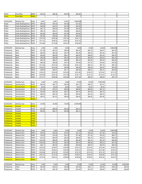| Public                       | Post Office                                      | AMEF                       | \$94.20              | \$86.06            | \$84.05            | \$80.99              |          |           |                      |           |
|------------------------------|--------------------------------------------------|----------------------------|----------------------|--------------------|--------------------|----------------------|----------|-----------|----------------------|-----------|
| <b>Public</b>                | Post Office                                      | <b>AMES</b>                |                      |                    |                    |                      |          |           |                      |           |
|                              |                                                  |                            |                      |                    |                    |                      |          |           |                      |           |
| CATEGORY                     | <b>Building Type</b>                             | Class                      | 2,000                | 4,000              | 10,000             | 9,999,999            |          |           |                      |           |
| Public                       | <b>Public Building/School</b>                    | <b>APPC</b>                | \$48.64              | \$44.44            | \$43.40            | \$41.82              |          |           |                      |           |
| Public                       | Public Building/School                           | <b>APPF</b>                | \$46.98              | \$42.91            | \$41.92            | \$40.38              |          |           |                      |           |
| Public                       | Public Building/School                           | <b>APPS</b>                | \$42.17              | \$38.52            | \$37.62            | \$36.26              |          |           |                      |           |
| Public                       | Public Building/School                           | APAC<br>APAF               | \$66.12<br>\$63.92   | \$60.41<br>\$58.40 | \$58.99<br>\$57.04 | \$56.85<br>\$54.96   |          |           |                      |           |
| Public                       | Public Building/School<br>Public Building/School | <b>APAS</b>                | \$57.62              | \$52.65            | \$51.41            | \$49.54              |          |           |                      |           |
| Public<br>Public             | Public Building/School                           | APEC                       | \$170.70             | \$165.28           | \$151.01           | \$142.11             |          |           |                      |           |
| Public                       | Public Building/School                           | <b>APEF</b>                | \$171.41             | \$166.02           | \$148.13           | \$142.74             |          |           |                      |           |
| Public                       | Public Building/School                           | <b>APES</b>                | \$118.82             | \$115.08           | \$105.14           | \$102.68             |          |           |                      |           |
|                              |                                                  |                            |                      |                    |                    |                      |          |           |                      |           |
| CATEGORY                     | <b>Building Type</b>                             | Class                      | 2,000                | 4,000              | 6,000              | 8,000                | 10,000   | 20,000    | 9,999,999            |           |
| Professional                 | Bank                                             | PBPC                       | \$71.06              | \$67.61            | \$66.06            | \$65.35              | \$64.79  | \$63.87   | \$63.30              |           |
| Professional                 | Bank                                             | PBPF                       | \$68.59              | \$65.25            | \$63.75            | \$63.06              | \$62.52  | \$61.64   | \$61.09              |           |
| Professional                 | Bank                                             | PBPS                       | \$63.65              | \$60.55            | \$59.17            | \$58.53              | \$58.02  | \$57.20   | \$56.70              |           |
| Professional                 | Bank                                             | PBAC                       | \$93.98              | \$89.28            | \$87.04            | \$85.74              | \$84.88  | \$84.03   | \$83.19              |           |
| Professional                 | Bank                                             | PBAF                       | \$92.79              | \$88.27            | \$86.25            | \$85.32              | \$84.59  | \$83.39   | \$82.65              |           |
| Professional                 | Bank                                             | PBAS                       | \$85.09              | \$80.96            | \$79.10            | \$78.26              | \$77.57  | \$76.48   | \$75.80              |           |
| Professional                 | Bank                                             | PBGC                       | \$113.20             | \$107.54           | \$103.24           | \$100.14             | \$98.14  | \$97.16   | \$96.19              |           |
| Professional                 | Bank                                             | PBGF                       | \$109.53             | \$104.05           | \$99.89            | \$96.89              | \$94.95  | \$94.00   | \$93.06              |           |
| Professional                 | Bank                                             | PBGS                       | \$99.90              | \$94.91            | \$91.11            | \$88.38              | \$86.61  | \$85.74   | \$84.89              |           |
| Professional                 | Bank                                             | PBEC                       | \$132.43             | \$126.00           | \$123.09           | \$121.80             | \$120.75 | \$119.02  | \$117.97             |           |
| Professional                 | Bank                                             | PBEF                       | \$126.26             | \$120.12           | \$117.36           | \$116.11             | \$115.10 | \$113.47  | \$112.47             |           |
| Professional                 | Bank                                             | <b>PBES</b>                | \$114.71             | \$108.98           | \$104.62           | \$101.48             | \$99.45  | \$98.46   | \$97.47              |           |
| CATEGORY                     | <b>Building Type</b>                             | Class                      | 4,000                | 6,000              | 8,000              | 10,000               | 20,000   | 9,999,999 |                      |           |
| Professional                 | Nursing Home                                     | PCPF                       | \$55.44              | \$54.17            | \$53.59            | \$53.13              | \$52.67  | \$51.91   |                      |           |
| Professional                 | Nursing Home                                     | <b>PCAC</b>                | \$0.00               | \$0.00             | \$0.00             | \$0.00               | \$0.00   | \$0.00    |                      |           |
| Professional                 | Nursing Home                                     | <b>PCAF</b>                | \$71.65              | \$70.01            | \$69.26            | \$68.66              | \$68.06  | \$67.10   |                      |           |
| Professional                 | Nursing Home                                     | PCAS                       | \$64.89              | \$63.40            | \$62.72            | \$62.18              | \$61.64  | \$60.75   |                      |           |
| Professional                 | Nursing Home                                     | PCEC                       | \$96.32              | \$94.10            | \$93.10            | \$92.30              | \$91.49  | \$90.18   |                      |           |
| Professional                 | Nursing Home                                     | <b>PCEF</b>                | \$92.91              | \$91.81            | \$90.83            | \$90.05              | \$89.26  | \$87.98   |                      |           |
| Professional                 | <b>Nursing Home</b>                              | <b>PCES</b>                |                      |                    |                    |                      |          |           |                      |           |
|                              |                                                  |                            |                      |                    |                    |                      |          |           |                      |           |
| CATEGORY                     | <b>Building Type</b>                             | Class                      | 20,000               | 30,000             | 40,000             | 9,999,999            |          |           |                      |           |
| <b>Professional</b>          | <b>Hospital</b>                                  | <b>PHAC</b>                |                      |                    |                    |                      |          |           |                      |           |
| Professional                 | Hospital                                         | PHAF                       | \$71.93              | \$69.83            | \$67.20            | \$65.10              |          |           |                      |           |
| Professional                 | Hospital                                         | PHAS                       | \$55.44              | \$54.17            | \$53.59            | \$53.13              |          |           |                      |           |
| Professional<br>Professional | <b>Hospital</b><br><b>Hospital</b>               | <b>PHGC</b><br><b>PHGF</b> |                      |                    |                    |                      |          |           |                      |           |
| Professional                 | <b>Hospital</b>                                  | <b>PHGS</b>                |                      |                    |                    |                      |          |           |                      |           |
| Professional                 | <b>Hospital</b>                                  | PHEC                       |                      |                    |                    |                      |          |           |                      |           |
| Professional                 | <b>Hospital</b>                                  | <b>PHEF</b>                |                      |                    |                    |                      |          |           |                      |           |
| Professional                 | <b>Hospital</b>                                  | <b>PHES</b>                |                      |                    |                    |                      |          |           |                      |           |
|                              |                                                  |                            |                      |                    |                    |                      |          |           |                      |           |
| CATEGORY                     | <b>Building Type</b>                             | Class                      | 2,000                | 4,000              | 6,000              | 8,000                | 10,000   | 20,000    | 9,999,999            |           |
| Professional                 | <b>Medical Clinic</b>                            | <b>PMPC</b>                | \$79.52              | \$75.64            | \$73.91            | \$73.12              | \$72.49  | \$71.46   | \$70.83              |           |
| Professional                 | <b>Medical Clinic</b>                            | PMPF                       | \$78.26              | \$74.45            | \$72.73            | \$71.96              | \$71.34  | \$70.33   | \$69.71              |           |
| Professional                 | <b>Medical Clinic</b>                            | PMPS                       | \$70.32              | \$66.90            | \$65.36            | \$64.66              | \$64.10  | \$63.20   | \$62.63              |           |
| Professional                 | Medical Clinic                                   | PMAC                       | \$104.36             | \$99.28            | \$97.00            | \$95.96              | \$95.13  | \$93.79   | \$92.96              |           |
| Professional                 | <b>Medical Clinic</b>                            | <b>PMAF</b>                | \$102.63             | \$97.64            | \$95.39            | \$94.37              | \$93.56  | \$92.23   | \$91.42              |           |
| Professional                 | <b>Medical Clinic</b>                            | <b>PMAS</b>                | \$92.11              | \$87.62            | \$85.62            | \$84.69              | \$83.97  | \$82.78   | \$82.05              |           |
| Professional                 | <b>Medical Clinic</b>                            | <b>PMGC</b>                | \$135.40             | \$128.81           | \$125.85           | \$124.51             | \$123.44 | \$121.68  | \$120.61             |           |
| Professional                 | <b>Medical Clinic</b>                            | <b>PMGF</b>                | \$135.40             | \$128.81           | \$125.85           | \$124.51             | \$123.44 | \$121.68  | \$120.61             |           |
| Professional                 | Medical Clinic                                   | <b>PMGS</b><br>PMEC        | \$125.84             | \$119.72           | \$116.97           | \$115.72             | \$114.72 | \$113.10  | \$112.10             |           |
| Professional<br>Professional | <b>Medical Clinic</b><br>Medical Clinic          | PMEF                       | \$181.24<br>\$170.72 | \$172.42           | \$168.46           | \$166.67<br>\$156.99 | \$165.23 | \$162.89  | \$161.45<br>\$152.07 |           |
| Professional                 | <b>Medical Clinic</b>                            | <b>PMES</b>                |                      | \$162.41           | \$158.69           |                      | \$155.63 | \$153.43  |                      |           |
|                              |                                                  |                            |                      |                    |                    |                      |          |           |                      |           |
| CATEGORY                     | <b>Building Type</b>                             | Class                      | 2,000                | 4,000              | 6,000              | 8,000                | 10,000   | 20,000    | 50,000               | 9,999,999 |
| Professional                 | Office                                           | POPC                       | \$42.90              | \$40.81            | \$39.88            | \$39.46              | \$39.11  | \$38.56   | \$38.22              | \$38.22   |
| Professional                 | Office                                           | POPF                       | \$41.16              | \$39.15            | \$38.25            | \$37.84              | \$37.52  | \$36.99   | \$36.66              | \$36.66   |
|                              |                                                  |                            |                      |                    |                    |                      |          |           |                      |           |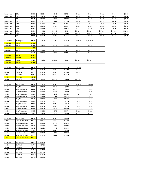| Professional | Office | <b>POPS</b> | \$38.51  | \$36.65  | \$35.81  | \$35.42  | \$35.11  | \$34.62  | \$34.31  | \$34.31  |
|--------------|--------|-------------|----------|----------|----------|----------|----------|----------|----------|----------|
| Professional | Office | <b>POAC</b> | \$63.59  | \$60.49  | \$59.10  | \$58.46  | \$57.97  | \$57.14  | \$56.65  | \$56.65  |
| Professional | Office | <b>POAF</b> | \$61.29  | \$58.31  | \$56.96  | \$56.36  | \$55.87  | \$55.07  | \$54.59  | \$54.59  |
| Professional | Office | <b>POAS</b> | \$56.81  | \$54.04  | \$52.79  | \$52.24  | \$51.79  | \$51.05  | \$50.60  | \$50.60  |
| Professional | Office | <b>POGC</b> | \$99.57  | \$94.72  | \$92.55  | \$91.56  | \$90.77  | \$89.48  | \$88.69  | \$86.32  |
| Professional | Office | <b>POGF</b> | \$96.19  | \$91.51  | \$89.41  | \$88.45  | \$87.70  | \$86.45  | \$85.69  | \$83.39  |
| Professional | Office | <b>POGS</b> | \$74.32  | \$70.71  | \$69.08  | \$68.34  | \$67.76  | \$66.79  | \$66.20  | \$66.20  |
| Professional | Office | <b>POEC</b> | \$141.52 | \$134.63 | \$131.54 | \$130.14 | \$129.01 | \$127.19 | \$126.06 | \$126.06 |
| Professional | Office | <b>POEF</b> | \$143.23 | \$136.26 | \$133.13 | \$131.70 | \$130.58 | \$128.72 | \$127.60 | \$124.17 |
| Professional | Office | <b>POES</b> | \$91.83  | \$87.36  | \$85.35  | \$84.45  | \$83.72  | \$82.53  | \$81.81  | \$81.81  |

| <b>CATEGORY</b> | <b>Building Type</b> | Class       | 2,000    | 4.000    | 10,000   | 20,000   | 9,999,999 |  |
|-----------------|----------------------|-------------|----------|----------|----------|----------|-----------|--|
| Residential     | <b>Mortuary</b>      | <b>QFPC</b> |          |          |          |          |           |  |
| Residential     | Mortuary             | QFPF        | \$46.14  | \$42.25  | \$41.23  | \$40.07  | \$39.35   |  |
| Residential     | <b>Mortuary</b>      | <b>QFPS</b> |          |          |          |          |           |  |
| Residential     | Mortuary             | QFAC        | \$66.95  | \$61.31  | \$59.82  | \$58.14  | \$57.11   |  |
| Residential     | Mortuary             | <b>QFAF</b> | \$64.25  | \$58.84  | \$57.41  | \$55.80  | \$54.80   |  |
| Residential     | <b>Mortuary</b>      | <b>QFAS</b> |          |          |          |          |           |  |
| Residential     | <b>Mortuary</b>      | <b>QFEC</b> |          |          |          |          |           |  |
| Residential     | Mortuary             | <b>QFEF</b> | \$118.88 | \$108.87 | \$106.24 | \$103.25 | \$101.41  |  |
| Residential     | <b>Mortuary</b>      | <b>QFES</b> |          |          |          |          |           |  |

| <b>CATEGORY</b> | <b>Building Type</b> | Class       | 50       | 75       | 100      | 9.999.999 |
|-----------------|----------------------|-------------|----------|----------|----------|-----------|
| Service         | <b>Fuel Kiosk</b>    | <b>SBPF</b> | \$90.30  | \$63,00  | \$51.19  | \$44.10   |
| Service         | <b>Fuel Kiosk</b>    | <b>SBPS</b> | \$90.30  | \$63,00  | \$51.19  | \$44.10   |
| Service         | <b>Fuel Kiosk</b>    | <b>SBAF</b> | \$128.89 | \$102.38 | \$86.89  | \$76.65   |
| Service         | <b>Fuel Kiosk</b>    | <b>SBAS</b> |          |          |          |           |
| Service         | <b>Fuel Kiosk</b>    | SBES        | \$180.60 | \$150.15 | \$130.20 | \$115.50  |

| <b>CATEGORY</b> | <b>Building Type</b> | Class       | 5.000   | 10.000  | 20.000  | 40.000  | 9,999,999 |
|-----------------|----------------------|-------------|---------|---------|---------|---------|-----------|
| Service         | Shop/Warehouse       | <b>SGPC</b> | \$10.50 | \$9.45  | \$8.40  | \$7.35  | \$6.30    |
| Service         | Shop/Warehouse       | <b>SGPF</b> | \$10.50 | \$9.45  | \$8.40  | \$7.35  | \$6.30    |
| Service         | Shop/Warehouse       | <b>SGPS</b> | \$10.50 | \$9.45  | \$8.40  | \$7.35  | \$6.30    |
| Service         | Shop/Warehouse       | <b>SGAC</b> | \$13.65 | \$12.08 | \$11.03 | \$9.98  | \$9.98    |
| Service         | Shop/Warehouse       | <b>SGAF</b> | \$13.65 | \$12.08 | \$11.03 | \$9.98  | \$9.98    |
| Service         | Shop/Warehouse       | <b>SGAS</b> | \$13.65 | \$12.08 | \$11.03 | \$9.98  | \$9.98    |
| Service         | Shop/Warehouse       | <b>SGFC</b> | \$10.50 | \$8.93  | \$7.88  | \$6.83  | \$6.83    |
| Service         | Shop/Warehouse       | <b>SGFF</b> | \$10.50 | \$8.93  | \$7.88  | \$6.83  | \$6.83    |
| Service         | Shop/Warehouse       | <b>SGFS</b> | \$10.50 | \$8.93  | \$7.88  | \$6.83  | \$6.83    |
| Service         | Shop/Warehouse       | SGEC        | \$18.38 | \$15.75 | \$14.70 | \$13.02 | \$13.02   |
| Service         | Shop/Warehouse       | <b>SGEF</b> | \$18.38 | \$15.75 | \$14.70 | \$13.02 | \$13.02   |
| Service         | Shop/Warehouse       | <b>SGES</b> | \$18.38 | \$15.75 | \$14.70 | \$13.02 | \$13.02   |

| <b>CATEGORY</b> | <b>Building Type</b>       | Class       | 2.000   | 4.000   | 9,999,999 |
|-----------------|----------------------------|-------------|---------|---------|-----------|
| Service         | Auto Service Center        | <b>SSPC</b> | \$40.76 | \$36.30 | \$35.48   |
| Service         | Auto Service Center        | <b>SSPF</b> | \$38.73 | \$34.49 | \$33.72   |
| Service         | Auto Service Center        | <b>SSPS</b> | \$37.65 | \$33.54 | \$32.78   |
| Service         | Auto Service Center        | <b>SSAC</b> | \$50.20 | \$44.70 | \$43.70   |
| Service         | Auto Service Center        | <b>SSAF</b> | \$47.89 | \$42.65 | \$41.70   |
| Service         | Auto Service Center        | <b>SSAS</b> | \$46.33 | \$41.25 | \$40.33   |
| Service         | Auto Service Center        | <b>SSEC</b> | \$58.88 | \$52.44 | \$51.26   |
| <b>Service</b>  | <b>Auto Service Center</b> | <b>SSES</b> |         |         |           |

| <b>CATEGORY</b> | <b>Building Type</b> | Class       | 9,999,999 |  |  |
|-----------------|----------------------|-------------|-----------|--|--|
| Service         | Car Wash             | <b>SWPC</b> | \$37.80   |  |  |
| Service         | Car Wash             | <b>SWPS</b> | \$37.80   |  |  |
| Service         | Car Wash             | <b>SWAC</b> | \$47.25   |  |  |
| Service         | Car Wash             | <b>SWAS</b> | \$47.25   |  |  |
| Service         | Car Wash             | <b>SWEC</b> | \$74.03   |  |  |
| Service         | Car Wash             | <b>SWES</b> | \$74.03   |  |  |